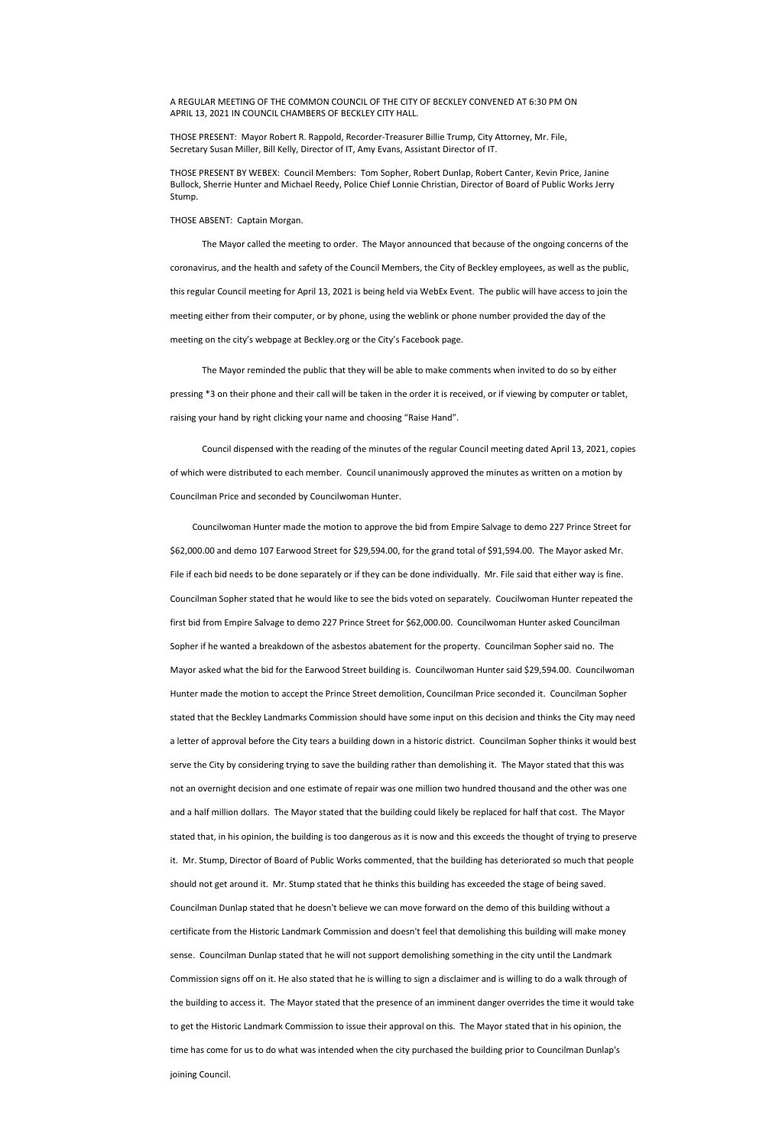A REGULAR MEETING OF THE COMMON COUNCIL OF THE CITY OF BECKLEY CONVENED AT 6:30 PM ON APRIL 13, 2021 IN COUNCIL CHAMBERS OF BECKLEY CITY HALL.

THOSE PRESENT: Mayor Robert R. Rappold, Recorder-Treasurer Billie Trump, City Attorney, Mr. File, Secretary Susan Miller, Bill Kelly, Director of IT, Amy Evans, Assistant Director of IT.

THOSE PRESENT BY WEBEX: Council Members: Tom Sopher, Robert Dunlap, Robert Canter, Kevin Price, Janine Bullock, Sherrie Hunter and Michael Reedy, Police Chief Lonnie Christian, Director of Board of Public Works Jerry Stump.

## THOSE ABSENT: Captain Morgan.

The Mayor called the meeting to order. The Mayor announced that because of the ongoing concerns of the coronavirus, and the health and safety of the Council Members, the City of Beckley employees, as well as the public, this regular Council meeting for April 13, 2021 is being held via WebEx Event. The public will have access to join the meeting either from their computer, or by phone, using the weblink or phone number provided the day of the meeting on the city's webpage at Beckley.org or the City's Facebook page.

The Mayor reminded the public that they will be able to make comments when invited to do so by either pressing \*3 on their phone and their call will be taken in the order it is received, or if viewing by computer or tablet, raising your hand by right clicking your name and choosing "Raise Hand".

 Council dispensed with the reading of the minutes of the regular Council meeting dated April 13, 2021, copies of which were distributed to each member. Council unanimously approved the minutes as written on a motion by Councilman Price and seconded by Councilwoman Hunter.

 Councilwoman Hunter made the motion to approve the bid from Empire Salvage to demo 227 Prince Street for \$62,000.00 and demo 107 Earwood Street for \$29,594.00, for the grand total of \$91,594.00. The Mayor asked Mr. File if each bid needs to be done separately or if they can be done individually. Mr. File said that either way is fine. Councilman Sopher stated that he would like to see the bids voted on separately. Coucilwoman Hunter repeated the first bid from Empire Salvage to demo 227 Prince Street for \$62,000.00. Councilwoman Hunter asked Councilman Sopher if he wanted a breakdown of the asbestos abatement for the property. Councilman Sopher said no. The Mayor asked what the bid for the Earwood Street building is. Councilwoman Hunter said \$29,594.00. Councilwoman Hunter made the motion to accept the Prince Street demolition, Councilman Price seconded it. Councilman Sopher stated that the Beckley Landmarks Commission should have some input on this decision and thinks the City may need a letter of approval before the City tears a building down in a historic district. Councilman Sopher thinks it would best serve the City by considering trying to save the building rather than demolishing it. The Mayor stated that this was not an overnight decision and one estimate of repair was one million two hundred thousand and the other was one and a half million dollars. The Mayor stated that the building could likely be replaced for half that cost. The Mayor stated that, in his opinion, the building is too dangerous as it is now and this exceeds the thought of trying to preserve it. Mr. Stump, Director of Board of Public Works commented, that the building has deteriorated so much that people should not get around it. Mr. Stump stated that he thinks this building has exceeded the stage of being saved. Councilman Dunlap stated that he doesn't believe we can move forward on the demo of this building without a certificate from the Historic Landmark Commission and doesn't feel that demolishing this building will make money sense. Councilman Dunlap stated that he will not support demolishing something in the city until the Landmark Commission signs off on it. He also stated that he is willing to sign a disclaimer and is willing to do a walk through of the building to access it. The Mayor stated that the presence of an imminent danger overrides the time it would take to get the Historic Landmark Commission to issue their approval on this. The Mayor stated that in his opinion, the time has come for us to do what was intended when the city purchased the building prior to Councilman Dunlap's joining Council.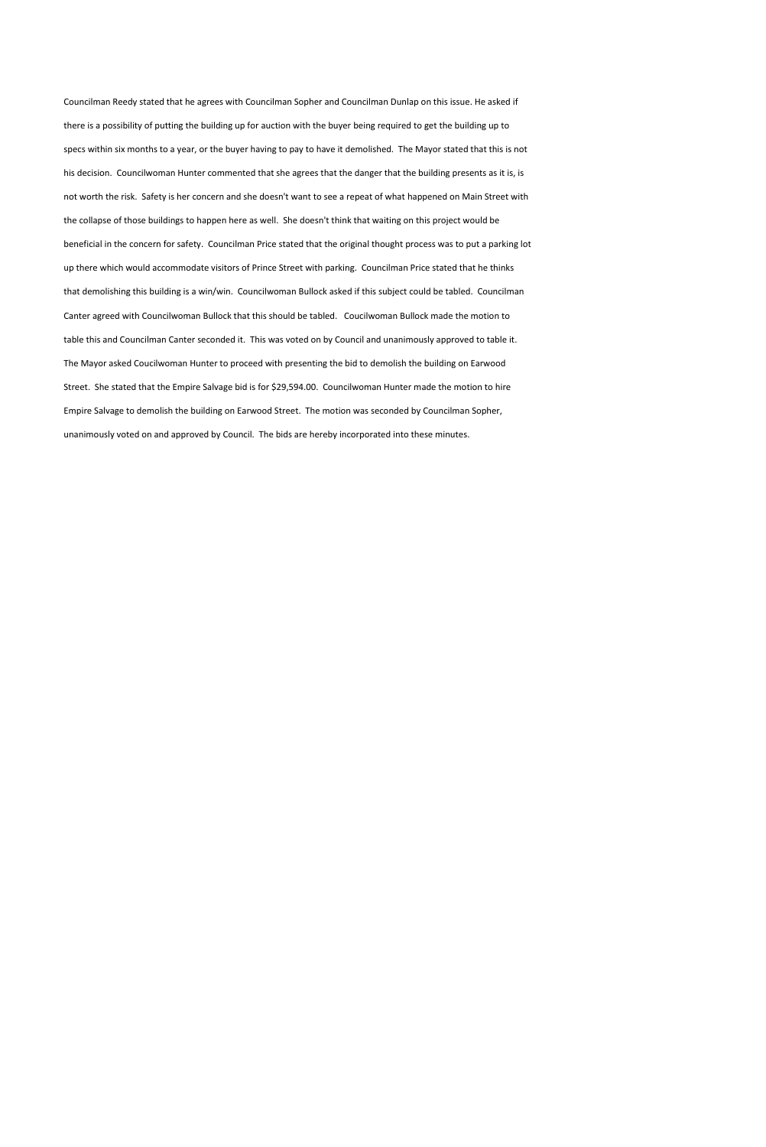Councilman Reedy stated that he agrees with Councilman Sopher and Councilman Dunlap on this issue. He asked if there is a possibility of putting the building up for auction with the buyer being required to get the building up to specs within six months to a year, or the buyer having to pay to have it demolished. The Mayor stated that this is not his decision. Councilwoman Hunter commented that she agrees that the danger that the building presents as it is, is not worth the risk. Safety is her concern and she doesn't want to see a repeat of what happened on Main Street with the collapse of those buildings to happen here as well. She doesn't think that waiting on this project would be beneficial in the concern for safety. Councilman Price stated that the original thought process was to put a parking lot up there which would accommodate visitors of Prince Street with parking. Councilman Price stated that he thinks that demolishing this building is a win/win. Councilwoman Bullock asked if this subject could be tabled. Councilman Canter agreed with Councilwoman Bullock that this should be tabled. Coucilwoman Bullock made the motion to table this and Councilman Canter seconded it. This was voted on by Council and unanimously approved to table it. The Mayor asked Coucilwoman Hunter to proceed with presenting the bid to demolish the building on Earwood Street. She stated that the Empire Salvage bid is for \$29,594.00. Councilwoman Hunter made the motion to hire Empire Salvage to demolish the building on Earwood Street. The motion was seconded by Councilman Sopher, unanimously voted on and approved by Council. The bids are hereby incorporated into these minutes.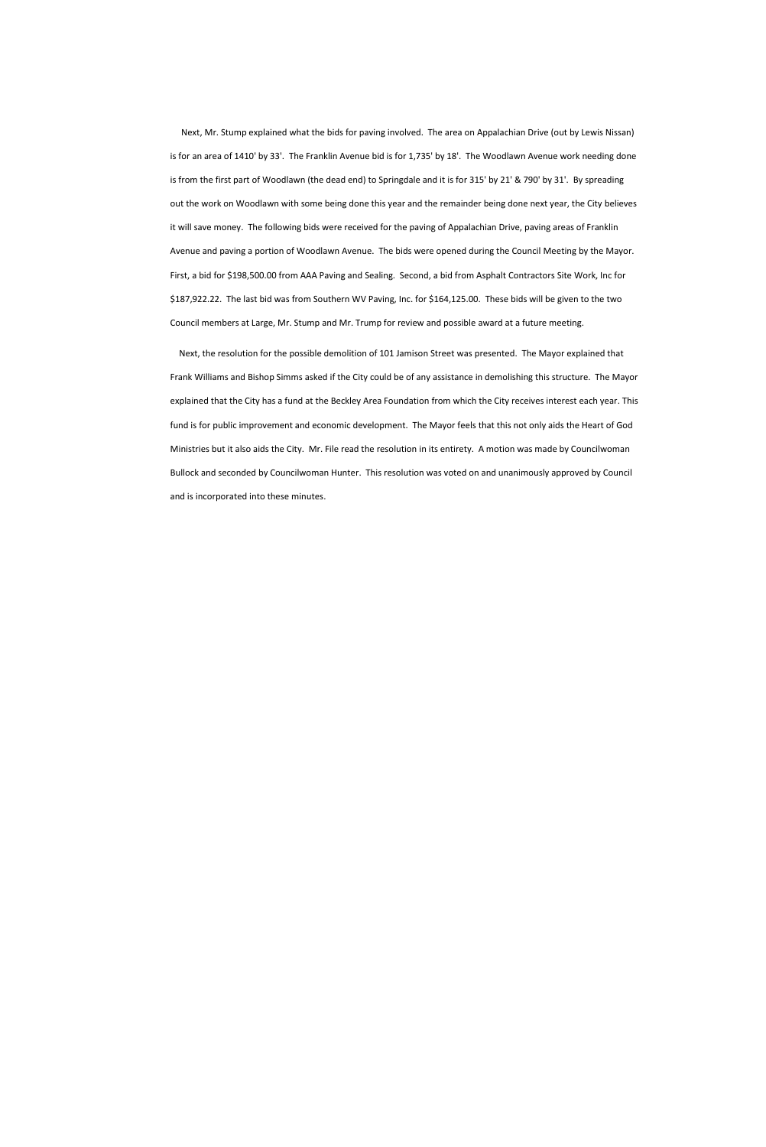Next, Mr. Stump explained what the bids for paving involved. The area on Appalachian Drive (out by Lewis Nissan) is for an area of 1410' by 33'. The Franklin Avenue bid is for 1,735' by 18'. The Woodlawn Avenue work needing done is from the first part of Woodlawn (the dead end) to Springdale and it is for 315' by 21' & 790' by 31'. By spreading out the work on Woodlawn with some being done this year and the remainder being done next year, the City believes it will save money. The following bids were received for the paving of Appalachian Drive, paving areas of Franklin Avenue and paving a portion of Woodlawn Avenue. The bids were opened during the Council Meeting by the Mayor. First, a bid for \$198,500.00 from AAA Paving and Sealing. Second, a bid from Asphalt Contractors Site Work, Inc for \$187,922.22. The last bid was from Southern WV Paving, Inc. for \$164,125.00. These bids will be given to the two Council members at Large, Mr. Stump and Mr. Trump for review and possible award at a future meeting.

 Next, the resolution for the possible demolition of 101 Jamison Street was presented. The Mayor explained that Frank Williams and Bishop Simms asked if the City could be of any assistance in demolishing this structure. The Mayor explained that the City has a fund at the Beckley Area Foundation from which the City receives interest each year. This fund is for public improvement and economic development. The Mayor feels that this not only aids the Heart of God Ministries but it also aids the City. Mr. File read the resolution in its entirety. A motion was made by Councilwoman Bullock and seconded by Councilwoman Hunter. This resolution was voted on and unanimously approved by Council and is incorporated into these minutes.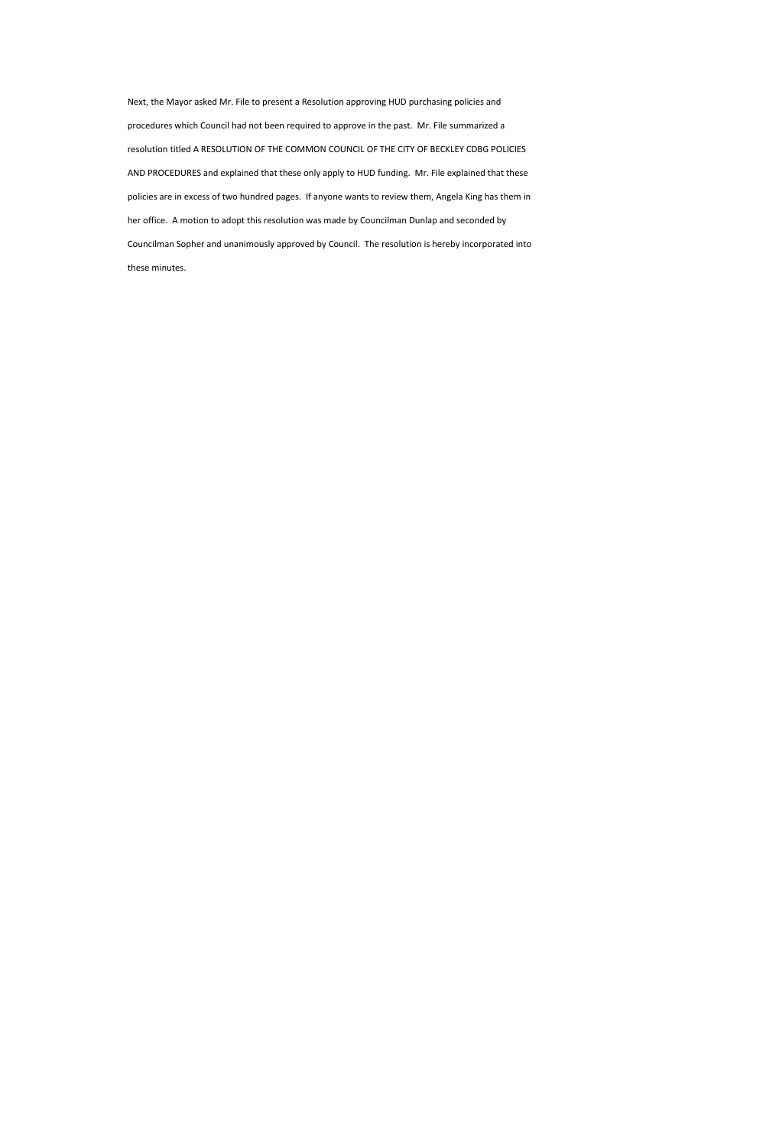Next, the Mayor asked Mr. File to present a Resolution approving HUD purchasing policies and procedures which Council had not been required to approve in the past. Mr. File summarized a resolution titled A RESOLUTION OF THE COMMON COUNCIL OF THE CITY OF BECKLEY CDBG POLICIES AND PROCEDURES and explained that these only apply to HUD funding. Mr. File explained that these policies are in excess of two hundred pages. If anyone wants to review them, Angela King has them in her office. A motion to adopt this resolution was made by Councilman Dunlap and seconded by Councilman Sopher and unanimously approved by Council. The resolution is hereby incorporated into these minutes.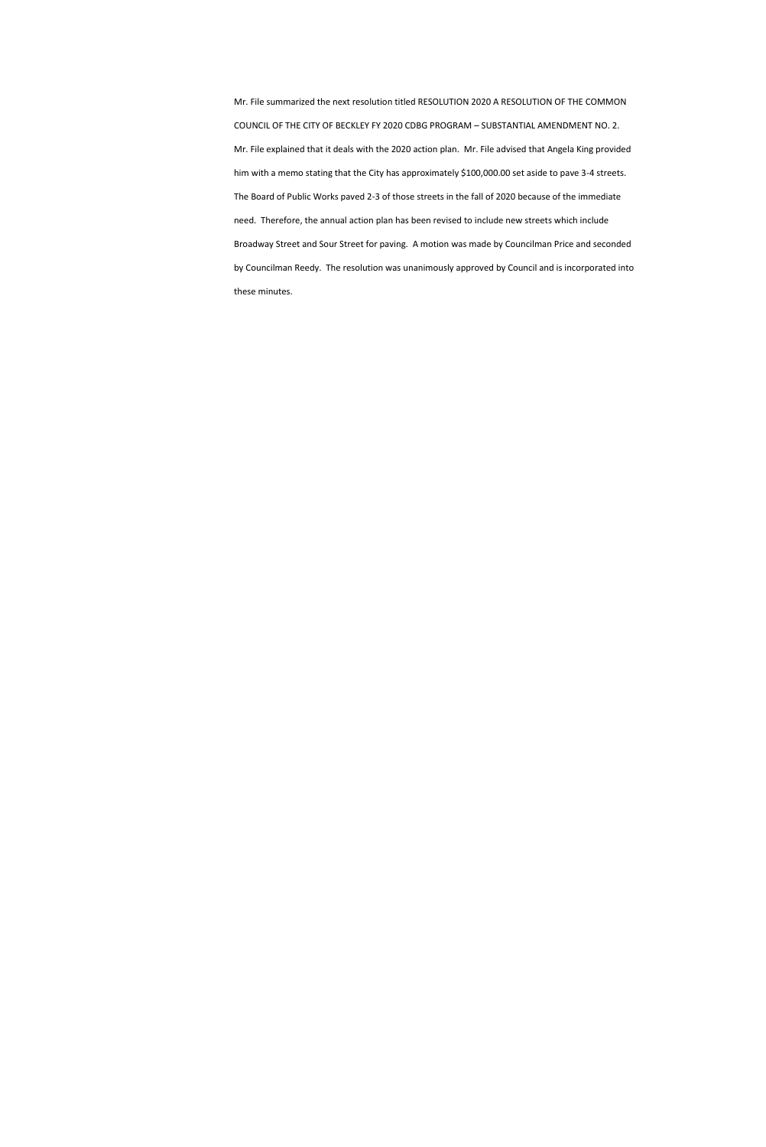Mr. File summarized the next resolution titled RESOLUTION 2020 A RESOLUTION OF THE COMMON COUNCIL OF THE CITY OF BECKLEY FY 2020 CDBG PROGRAM – SUBSTANTIAL AMENDMENT NO. 2. Mr. File explained that it deals with the 2020 action plan. Mr. File advised that Angela King provided him with a memo stating that the City has approximately \$100,000.00 set aside to pave 3-4 streets. The Board of Public Works paved 2-3 of those streets in the fall of 2020 because of the immediate need. Therefore, the annual action plan has been revised to include new streets which include Broadway Street and Sour Street for paving. A motion was made by Councilman Price and seconded by Councilman Reedy. The resolution was unanimously approved by Council and is incorporated into these minutes.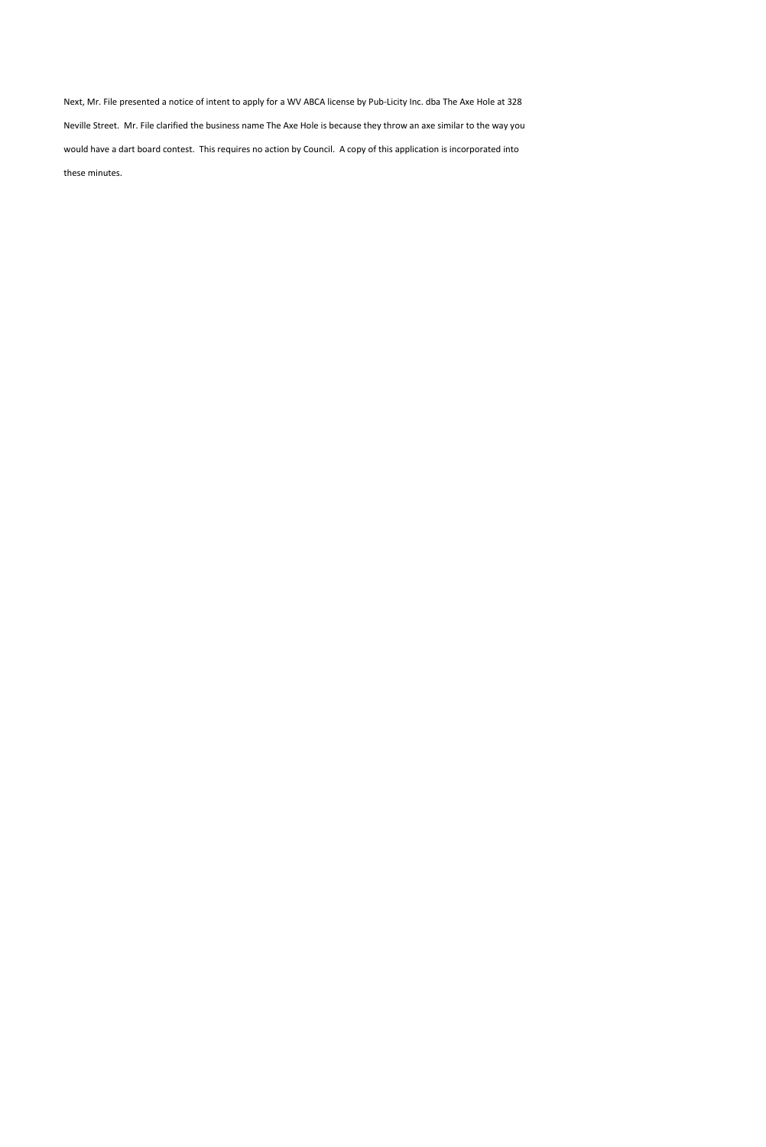Next, Mr. File presented a notice of intent to apply for a WV ABCA license by Pub-Licity Inc. dba The Axe Hole at 328 Neville Street. Mr. File clarified the business name The Axe Hole is because they throw an axe similar to the way you would have a dart board contest. This requires no action by Council. A copy of this application is incorporated into these minutes.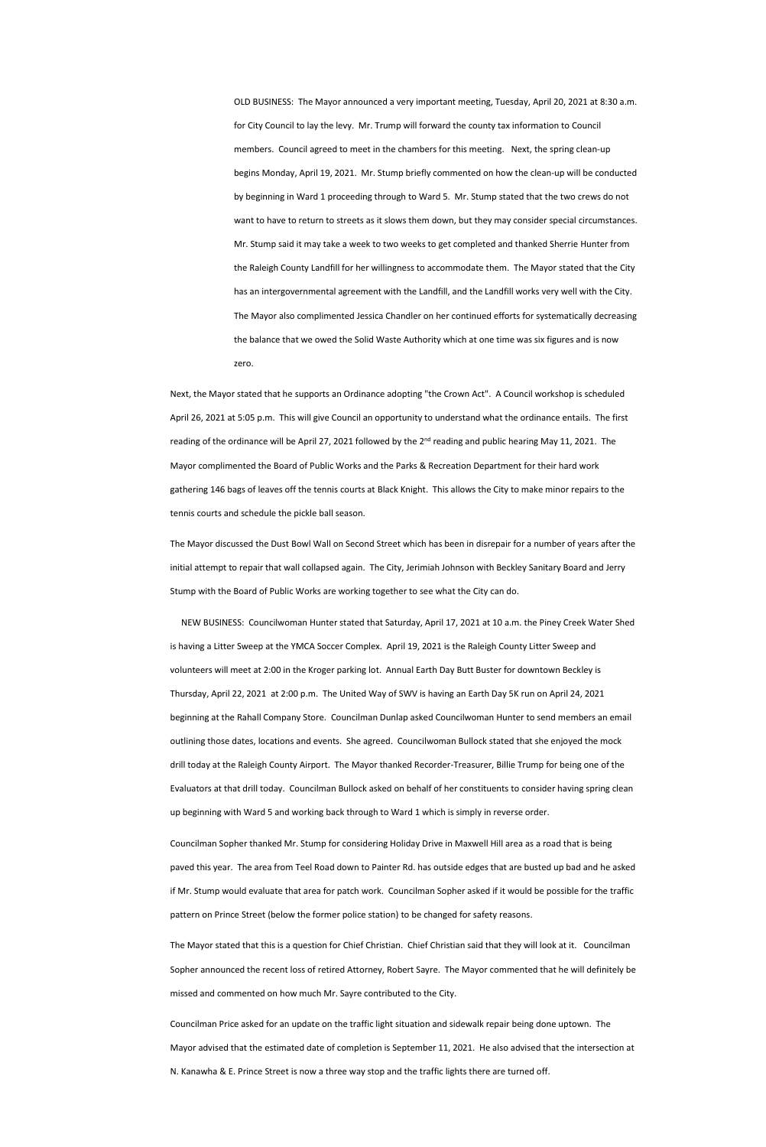OLD BUSINESS: The Mayor announced a very important meeting, Tuesday, April 20, 2021 at 8:30 a.m. for City Council to lay the levy. Mr. Trump will forward the county tax information to Council members. Council agreed to meet in the chambers for this meeting. Next, the spring clean-up begins Monday, April 19, 2021. Mr. Stump briefly commented on how the clean-up will be conducted by beginning in Ward 1 proceeding through to Ward 5. Mr. Stump stated that the two crews do not want to have to return to streets as it slows them down, but they may consider special circumstances. Mr. Stump said it may take a week to two weeks to get completed and thanked Sherrie Hunter from the Raleigh County Landfill for her willingness to accommodate them. The Mayor stated that the City has an intergovernmental agreement with the Landfill, and the Landfill works very well with the City. The Mayor also complimented Jessica Chandler on her continued efforts for systematically decreasing the balance that we owed the Solid Waste Authority which at one time was six figures and is now zero.

Next, the Mayor stated that he supports an Ordinance adopting "the Crown Act". A Council workshop is scheduled April 26, 2021 at 5:05 p.m. This will give Council an opportunity to understand what the ordinance entails. The first reading of the ordinance will be April 27, 2021 followed by the 2<sup>nd</sup> reading and public hearing May 11, 2021. The Mayor complimented the Board of Public Works and the Parks & Recreation Department for their hard work gathering 146 bags of leaves off the tennis courts at Black Knight. This allows the City to make minor repairs to the tennis courts and schedule the pickle ball season.

The Mayor discussed the Dust Bowl Wall on Second Street which has been in disrepair for a number of years after the initial attempt to repair that wall collapsed again. The City, Jerimiah Johnson with Beckley Sanitary Board and Jerry Stump with the Board of Public Works are working together to see what the City can do.

 NEW BUSINESS: Councilwoman Hunter stated that Saturday, April 17, 2021 at 10 a.m. the Piney Creek Water Shed is having a Litter Sweep at the YMCA Soccer Complex. April 19, 2021 is the Raleigh County Litter Sweep and volunteers will meet at 2:00 in the Kroger parking lot. Annual Earth Day Butt Buster for downtown Beckley is Thursday, April 22, 2021 at 2:00 p.m. The United Way of SWV is having an Earth Day 5K run on April 24, 2021 beginning at the Rahall Company Store. Councilman Dunlap asked Councilwoman Hunter to send members an email outlining those dates, locations and events. She agreed. Councilwoman Bullock stated that she enjoyed the mock drill today at the Raleigh County Airport. The Mayor thanked Recorder-Treasurer, Billie Trump for being one of the Evaluators at that drill today. Councilman Bullock asked on behalf of her constituents to consider having spring clean

up beginning with Ward 5 and working back through to Ward 1 which is simply in reverse order.

Councilman Sopher thanked Mr. Stump for considering Holiday Drive in Maxwell Hill area as a road that is being paved this year. The area from Teel Road down to Painter Rd. has outside edges that are busted up bad and he asked if Mr. Stump would evaluate that area for patch work. Councilman Sopher asked if it would be possible for the traffic pattern on Prince Street (below the former police station) to be changed for safety reasons.

The Mayor stated that this is a question for Chief Christian. Chief Christian said that they will look at it. Councilman Sopher announced the recent loss of retired Attorney, Robert Sayre. The Mayor commented that he will definitely be missed and commented on how much Mr. Sayre contributed to the City.

Councilman Price asked for an update on the traffic light situation and sidewalk repair being done uptown. The Mayor advised that the estimated date of completion is September 11, 2021. He also advised that the intersection at N. Kanawha & E. Prince Street is now a three way stop and the traffic lights there are turned off.